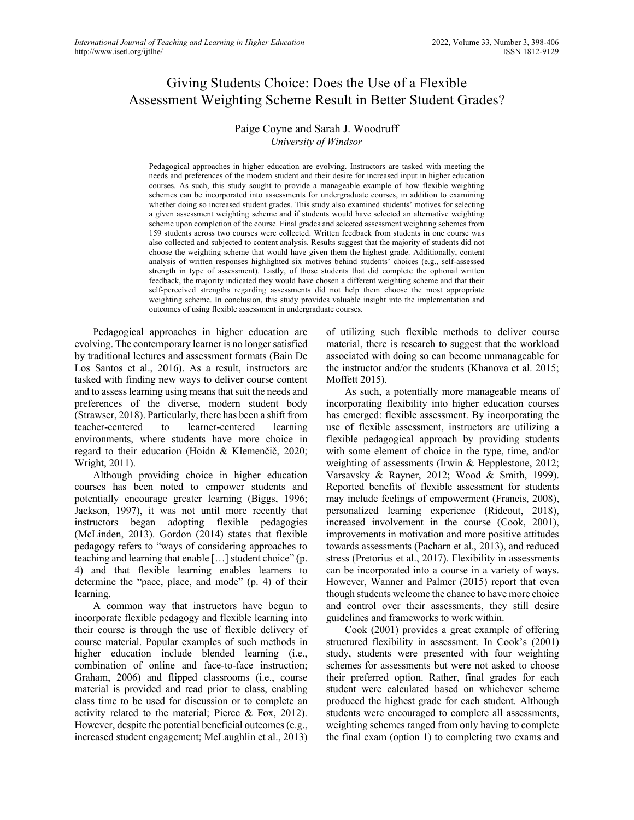# Giving Students Choice: Does the Use of a Flexible Assessment Weighting Scheme Result in Better Student Grades?

# Paige Coyne and Sarah J. Woodruff *University of Windsor*

Pedagogical approaches in higher education are evolving. Instructors are tasked with meeting the needs and preferences of the modern student and their desire for increased input in higher education courses. As such, this study sought to provide a manageable example of how flexible weighting schemes can be incorporated into assessments for undergraduate courses, in addition to examining whether doing so increased student grades. This study also examined students' motives for selecting a given assessment weighting scheme and if students would have selected an alternative weighting scheme upon completion of the course. Final grades and selected assessment weighting schemes from 159 students across two courses were collected. Written feedback from students in one course was also collected and subjected to content analysis. Results suggest that the majority of students did not choose the weighting scheme that would have given them the highest grade. Additionally, content analysis of written responses highlighted six motives behind students' choices (e.g., self-assessed strength in type of assessment). Lastly, of those students that did complete the optional written feedback, the majority indicated they would have chosen a different weighting scheme and that their self-perceived strengths regarding assessments did not help them choose the most appropriate weighting scheme. In conclusion, this study provides valuable insight into the implementation and outcomes of using flexible assessment in undergraduate courses.

Pedagogical approaches in higher education are evolving. The contemporary learner is no longer satisfied by traditional lectures and assessment formats (Bain De Los Santos et al., 2016). As a result, instructors are tasked with finding new ways to deliver course content and to assess learning using means that suit the needs and preferences of the diverse, modern student body (Strawser, 2018). Particularly, there has been a shift from teacher-centered to learner-centered learning environments, where students have more choice in regard to their education (Hoidn & Klemenčič, 2020; Wright, 2011).

Although providing choice in higher education courses has been noted to empower students and potentially encourage greater learning (Biggs, 1996; Jackson, 1997), it was not until more recently that instructors began adopting flexible pedagogies (McLinden, 2013). Gordon (2014) states that flexible pedagogy refers to "ways of considering approaches to teaching and learning that enable […] student choice" (p. 4) and that flexible learning enables learners to determine the "pace, place, and mode" (p. 4) of their learning.

A common way that instructors have begun to incorporate flexible pedagogy and flexible learning into their course is through the use of flexible delivery of course material. Popular examples of such methods in higher education include blended learning (i.e., combination of online and face-to-face instruction; Graham, 2006) and flipped classrooms (i.e., course material is provided and read prior to class, enabling class time to be used for discussion or to complete an activity related to the material; Pierce & Fox, 2012). However, despite the potential beneficial outcomes (e.g., increased student engagement; McLaughlin et al., 2013)

of utilizing such flexible methods to deliver course material, there is research to suggest that the workload associated with doing so can become unmanageable for the instructor and/or the students (Khanova et al. 2015; Moffett 2015).

As such, a potentially more manageable means of incorporating flexibility into higher education courses has emerged: flexible assessment. By incorporating the use of flexible assessment, instructors are utilizing a flexible pedagogical approach by providing students with some element of choice in the type, time, and/or weighting of assessments (Irwin & Hepplestone, 2012; Varsavsky & Rayner, 2012; Wood & Smith, 1999). Reported benefits of flexible assessment for students may include feelings of empowerment (Francis, 2008), personalized learning experience (Rideout, 2018), increased involvement in the course (Cook, 2001), improvements in motivation and more positive attitudes towards assessments (Pacharn et al., 2013), and reduced stress (Pretorius et al., 2017). Flexibility in assessments can be incorporated into a course in a variety of ways. However, Wanner and Palmer (2015) report that even though students welcome the chance to have more choice and control over their assessments, they still desire guidelines and frameworks to work within.

Cook (2001) provides a great example of offering structured flexibility in assessment. In Cook's (2001) study, students were presented with four weighting schemes for assessments but were not asked to choose their preferred option. Rather, final grades for each student were calculated based on whichever scheme produced the highest grade for each student. Although students were encouraged to complete all assessments, weighting schemes ranged from only having to complete the final exam (option 1) to completing two exams and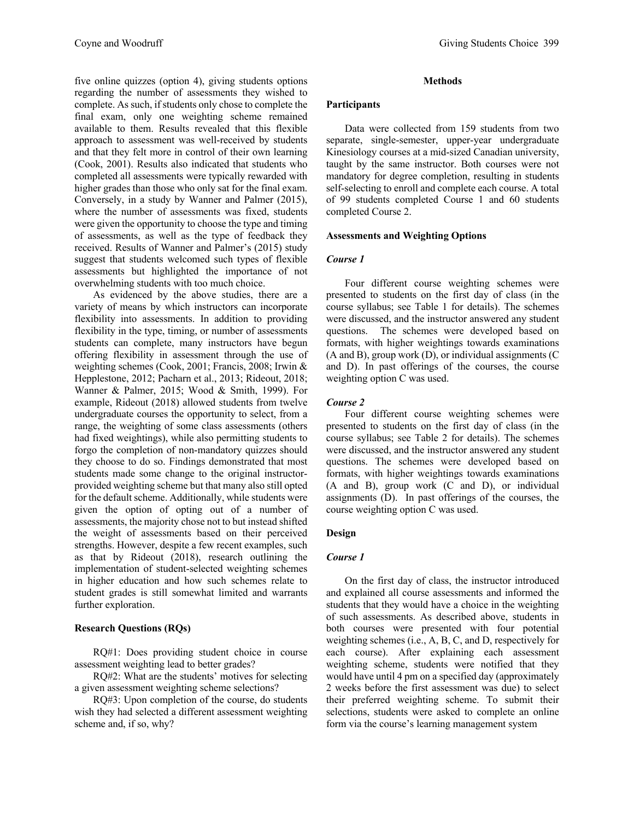five online quizzes (option 4), giving students options regarding the number of assessments they wished to complete. As such, if students only chose to complete the final exam, only one weighting scheme remained available to them. Results revealed that this flexible approach to assessment was well-received by students and that they felt more in control of their own learning (Cook, 2001). Results also indicated that students who completed all assessments were typically rewarded with higher grades than those who only sat for the final exam. Conversely, in a study by Wanner and Palmer (2015), where the number of assessments was fixed, students were given the opportunity to choose the type and timing of assessments, as well as the type of feedback they received. Results of Wanner and Palmer's (2015) study suggest that students welcomed such types of flexible assessments but highlighted the importance of not overwhelming students with too much choice.

As evidenced by the above studies, there are a variety of means by which instructors can incorporate flexibility into assessments. In addition to providing flexibility in the type, timing, or number of assessments students can complete, many instructors have begun offering flexibility in assessment through the use of weighting schemes (Cook, 2001; Francis, 2008; Irwin & Hepplestone, 2012; Pacharn et al., 2013; Rideout, 2018; Wanner & Palmer, 2015; Wood & Smith, 1999). For example, Rideout (2018) allowed students from twelve undergraduate courses the opportunity to select, from a range, the weighting of some class assessments (others had fixed weightings), while also permitting students to forgo the completion of non-mandatory quizzes should they choose to do so. Findings demonstrated that most students made some change to the original instructorprovided weighting scheme but that many also still opted for the default scheme. Additionally, while students were given the option of opting out of a number of assessments, the majority chose not to but instead shifted the weight of assessments based on their perceived strengths. However, despite a few recent examples, such as that by Rideout (2018), research outlining the implementation of student-selected weighting schemes in higher education and how such schemes relate to student grades is still somewhat limited and warrants further exploration.

## **Research Questions (RQs)**

RQ#1: Does providing student choice in course assessment weighting lead to better grades?

RQ#2: What are the students' motives for selecting a given assessment weighting scheme selections?

RQ#3: Upon completion of the course, do students wish they had selected a different assessment weighting scheme and, if so, why?

## **Methods**

#### **Participants**

Data were collected from 159 students from two separate, single-semester, upper-year undergraduate Kinesiology courses at a mid-sized Canadian university, taught by the same instructor. Both courses were not mandatory for degree completion, resulting in students self-selecting to enroll and complete each course. A total of 99 students completed Course 1 and 60 students completed Course 2.

#### **Assessments and Weighting Options**

## *Course 1*

Four different course weighting schemes were presented to students on the first day of class (in the course syllabus; see Table 1 for details). The schemes were discussed, and the instructor answered any student questions. The schemes were developed based on formats, with higher weightings towards examinations (A and B), group work (D), or individual assignments (C and D). In past offerings of the courses, the course weighting option C was used.

## *Course 2*

Four different course weighting schemes were presented to students on the first day of class (in the course syllabus; see Table 2 for details). The schemes were discussed, and the instructor answered any student questions. The schemes were developed based on formats, with higher weightings towards examinations (A and B), group work (C and D), or individual assignments (D). In past offerings of the courses, the course weighting option C was used.

# **Design**

## *Course 1*

On the first day of class, the instructor introduced and explained all course assessments and informed the students that they would have a choice in the weighting of such assessments. As described above, students in both courses were presented with four potential weighting schemes (i.e., A, B, C, and D, respectively for each course). After explaining each assessment weighting scheme, students were notified that they would have until 4 pm on a specified day (approximately 2 weeks before the first assessment was due) to select their preferred weighting scheme. To submit their selections, students were asked to complete an online form via the course's learning management system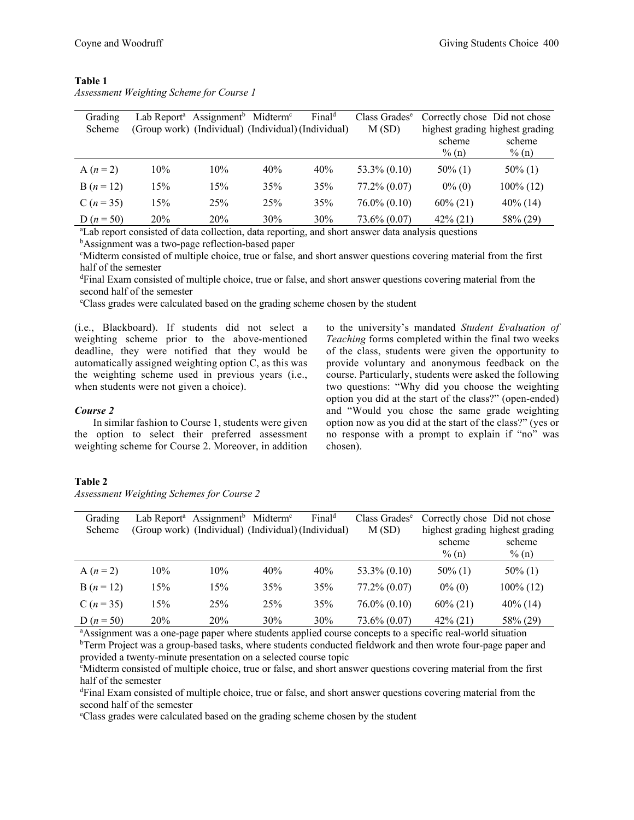| Grading      |                                                     | Lab Report <sup>a</sup> Assignment <sup>b</sup> Midterm <sup>c</sup> |     | Final <sup>d</sup> | Class Grades <sup>e</sup> | Correctly chose Did not chose   |                    |
|--------------|-----------------------------------------------------|----------------------------------------------------------------------|-----|--------------------|---------------------------|---------------------------------|--------------------|
| Scheme       | (Group work) (Individual) (Individual) (Individual) |                                                                      |     |                    | M(SD)                     | highest grading highest grading |                    |
|              |                                                     |                                                                      |     |                    |                           | scheme<br>$\%$ (n)              | scheme<br>$\%$ (n) |
| A $(n = 2)$  | 10%                                                 | 10%                                                                  | 40% | 40%                | $53.3\% (0.10)$           | $50\%$ (1)                      | $50\%$ (1)         |
| $B(n = 12)$  | 15%                                                 | 15%                                                                  | 35% | 35%                | $77.2\% (0.07)$           | $0\%$ (0)                       | 100% (12)          |
| C $(n = 35)$ | 15%                                                 | 25%                                                                  | 25% | 35%                | $76.0\% (0.10)$           | $60\% (21)$                     | $40\%$ (14)        |
| D $(n = 50)$ | <b>20%</b>                                          | <b>20%</b>                                                           | 30% | 30%                | $73.6\% (0.07)$           | $42\%$ (21)                     | 58% (29)           |

## **Table 1** *Assessment Weighting Scheme for Course 1*

a Lab report consisted of data collection, data reporting, and short answer data analysis questions <sup>b</sup>Assignment was a two-page reflection-based paper<br><sup>e</sup>Midterm consisted of multiple choice, true or false

<sup>e</sup>Midterm consisted of multiple choice, true or false, and short answer questions covering material from the first half of the semester

d Final Exam consisted of multiple choice, true or false, and short answer questions covering material from the second half of the semester

e Class grades were calculated based on the grading scheme chosen by the student

(i.e., Blackboard). If students did not select a weighting scheme prior to the above-mentioned deadline, they were notified that they would be automatically assigned weighting option C, as this was the weighting scheme used in previous years (i.e., when students were not given a choice).

#### *Course 2*

In similar fashion to Course 1, students were given the option to select their preferred assessment weighting scheme for Course 2. Moreover, in addition to the university's mandated *Student Evaluation of Teaching* forms completed within the final two weeks of the class, students were given the opportunity to provide voluntary and anonymous feedback on the course. Particularly, students were asked the following two questions: "Why did you choose the weighting option you did at the start of the class?" (open-ended) and "Would you chose the same grade weighting option now as you did at the start of the class?" (yes or no response with a prompt to explain if "no" was chosen).

#### **Table 2**

*Assessment Weighting Schemes for Course 2*

| Grading      | Lab Report <sup>a</sup> Assignment <sup>b</sup> Midterm <sup>c</sup> |     |     | Final <sup>d</sup> | Class Grades <sup>e</sup> | Correctly chose Did not chose   |              |
|--------------|----------------------------------------------------------------------|-----|-----|--------------------|---------------------------|---------------------------------|--------------|
| Scheme       | (Group work) (Individual) (Individual) (Individual)                  |     |     |                    | M(SD)                     | highest grading highest grading |              |
|              |                                                                      |     |     |                    |                           | scheme                          | scheme       |
|              |                                                                      |     |     |                    |                           | $\frac{6}{2}$ (n)               | $\%$ (n)     |
| A $(n = 2)$  | 10%                                                                  | 10% | 40% | 40%                | $53.3\% (0.10)$           | $50\%$ (1)                      | $50\%$ (1)   |
| $B(n = 12)$  | 15%                                                                  | 15% | 35% | 35%                | $77.2\% (0.07)$           | $0\%$ (0)                       | $100\%$ (12) |
| C $(n = 35)$ | 15%                                                                  | 25% | 25% | 35%                | $76.0\% (0.10)$           | $60\% (21)$                     | $40\%$ (14)  |
| D $(n = 50)$ | 20%                                                                  | 20% | 30% | 30%                | $73.6\% (0.07)$           | $42\%$ (21)                     | 58% (29)     |

a Assignment was a one-page paper where students applied course concepts to a specific real-world situation <sup>b</sup>Term Project was a group-based tasks, where students conducted fieldwork and then wrote four-page paper and provided a twenty-minute presentation on a selected course topic

c Midterm consisted of multiple choice, true or false, and short answer questions covering material from the first half of the semester

d Final Exam consisted of multiple choice, true or false, and short answer questions covering material from the second half of the semester

e Class grades were calculated based on the grading scheme chosen by the student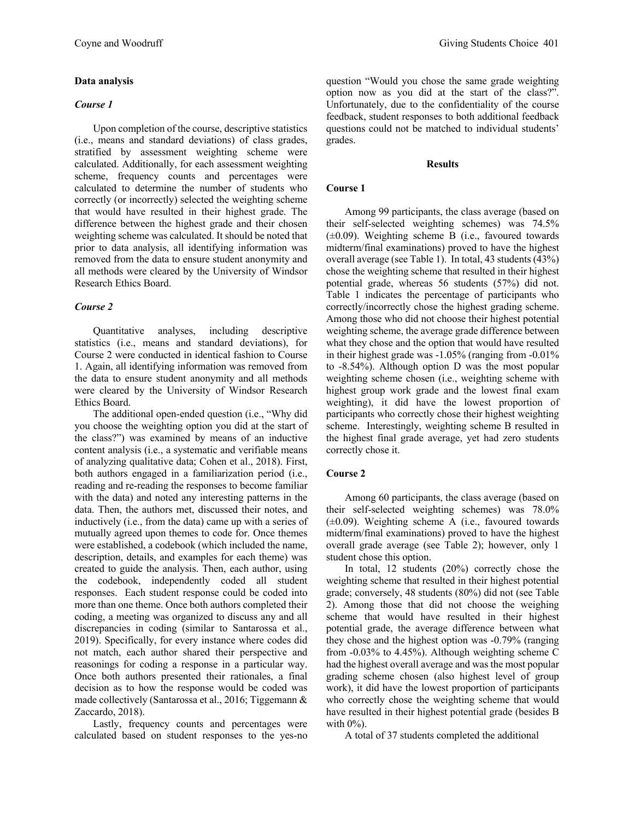## **Data analysis**

#### *Course 1*

Upon completion of the course, descriptive statistics (i.e., means and standard deviations) of class grades, stratified by assessment weighting scheme were calculated. Additionally, for each assessment weighting scheme, frequency counts and percentages were calculated to determine the number of students who correctly (or incorrectly) selected the weighting scheme that would have resulted in their highest grade. The difference between the highest grade and their chosen weighting scheme was calculated. It should be noted that prior to data analysis, all identifying information was removed from the data to ensure student anonymity and all methods were cleared by the University of Windsor Research Ethics Board.

## *Course 2*

Quantitative analyses, including descriptive statistics (i.e., means and standard deviations), for Course 2 were conducted in identical fashion to Course 1. Again, all identifying information was removed from the data to ensure student anonymity and all methods were cleared by the University of Windsor Research Ethics Board.

The additional open-ended question (i.e., "Why did you choose the weighting option you did at the start of the class?") was examined by means of an inductive content analysis (i.e., a systematic and verifiable means of analyzing qualitative data; Cohen et al., 2018). First, both authors engaged in a familiarization period (i.e., reading and re-reading the responses to become familiar with the data) and noted any interesting patterns in the data. Then, the authors met, discussed their notes, and inductively (i.e., from the data) came up with a series of mutually agreed upon themes to code for. Once themes were established, a codebook (which included the name, description, details, and examples for each theme) was created to guide the analysis. Then, each author, using the codebook, independently coded all student responses. Each student response could be coded into more than one theme. Once both authors completed their coding, a meeting was organized to discuss any and all discrepancies in coding (similar to Santarossa et al., 2019). Specifically, for every instance where codes did not match, each author shared their perspective and reasonings for coding a response in a particular way. Once both authors presented their rationales, a final decision as to how the response would be coded was made collectively (Santarossa et al., 2016; Tiggemann & Zaccardo, 2018).

Lastly, frequency counts and percentages were calculated based on student responses to the yes-no question "Would you chose the same grade weighting option now as you did at the start of the class?". Unfortunately, due to the confidentiality of the course feedback, student responses to both additional feedback questions could not be matched to individual students' grades.

## **Results**

## **Course 1**

Among 99 participants, the class average (based on their self-selected weighting schemes) was 74.5%  $(\pm 0.09)$ . Weighting scheme B (i.e., favoured towards midterm/final examinations) proved to have the highest overall average (see Table 1). In total, 43 students (43%) chose the weighting scheme that resulted in their highest potential grade, whereas 56 students (57%) did not. Table 1 indicates the percentage of participants who correctly/incorrectly chose the highest grading scheme. Among those who did not choose their highest potential weighting scheme, the average grade difference between what they chose and the option that would have resulted in their highest grade was -1.05% (ranging from -0.01% to -8.54%). Although option D was the most popular weighting scheme chosen (i.e., weighting scheme with highest group work grade and the lowest final exam weighting), it did have the lowest proportion of participants who correctly chose their highest weighting scheme. Interestingly, weighting scheme B resulted in the highest final grade average, yet had zero students correctly chose it.

# **Course 2**

Among 60 participants, the class average (based on their self-selected weighting schemes) was 78.0%  $(\pm 0.09)$ . Weighting scheme A (i.e., favoured towards midterm/final examinations) proved to have the highest overall grade average (see Table 2); however, only 1 student chose this option.

In total, 12 students (20%) correctly chose the weighting scheme that resulted in their highest potential grade; conversely, 48 students (80%) did not (see Table 2). Among those that did not choose the weighing scheme that would have resulted in their highest potential grade, the average difference between what they chose and the highest option was -0.79% (ranging from -0.03% to 4.45%). Although weighting scheme C had the highest overall average and was the most popular grading scheme chosen (also highest level of group work), it did have the lowest proportion of participants who correctly chose the weighting scheme that would have resulted in their highest potential grade (besides B with 0%).

A total of 37 students completed the additional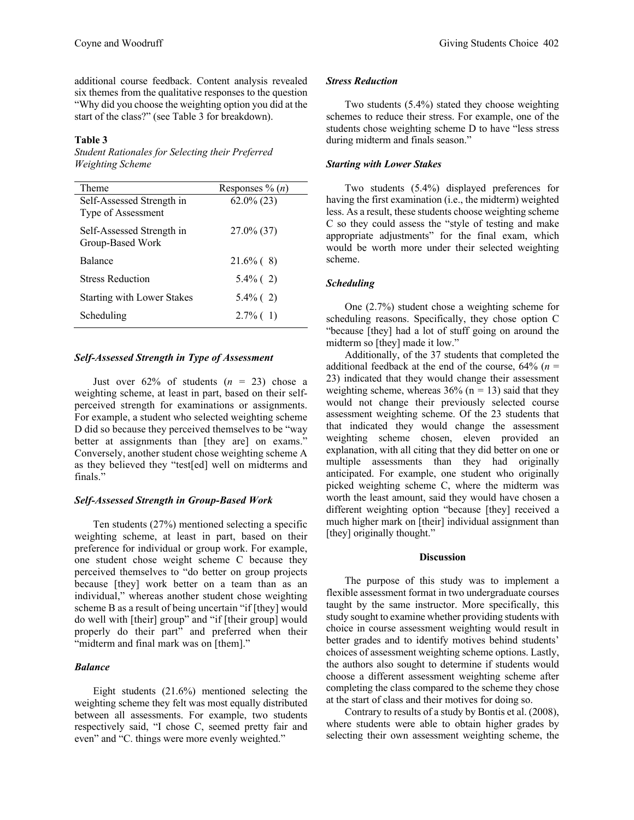additional course feedback. Content analysis revealed six themes from the qualitative responses to the question "Why did you choose the weighting option you did at the start of the class?" (see Table 3 for breakdown).

#### **Table 3**

*Student Rationales for Selecting their Preferred Weighting Scheme*

| Theme                                           | Responses % $(n)$ |
|-------------------------------------------------|-------------------|
| Self-Assessed Strength in<br>Type of Assessment | $62.0\%$ (23)     |
| Self-Assessed Strength in<br>Group-Based Work   | 27.0% (37)        |
| Balance                                         | $21.6\%$ (8)      |
| <b>Stress Reduction</b>                         | $5.4\%$ (2)       |
| <b>Starting with Lower Stakes</b>               | $5.4\%$ (2)       |
| Scheduling                                      | $2.7\%$ (1)       |

#### *Self-Assessed Strength in Type of Assessment*

Just over  $62\%$  of students  $(n = 23)$  chose a weighting scheme, at least in part, based on their selfperceived strength for examinations or assignments. For example, a student who selected weighting scheme D did so because they perceived themselves to be "way better at assignments than [they are] on exams." Conversely, another student chose weighting scheme A as they believed they "test[ed] well on midterms and finals."

## *Self-Assessed Strength in Group-Based Work*

Ten students (27%) mentioned selecting a specific weighting scheme, at least in part, based on their preference for individual or group work. For example, one student chose weight scheme C because they perceived themselves to "do better on group projects because [they] work better on a team than as an individual," whereas another student chose weighting scheme B as a result of being uncertain "if [they] would do well with [their] group" and "if [their group] would properly do their part" and preferred when their "midterm and final mark was on [them]."

## *Balance*

Eight students (21.6%) mentioned selecting the weighting scheme they felt was most equally distributed between all assessments. For example, two students respectively said, "I chose C, seemed pretty fair and even" and "C. things were more evenly weighted."

#### *Stress Reduction*

Two students (5.4%) stated they choose weighting schemes to reduce their stress. For example, one of the students chose weighting scheme D to have "less stress during midterm and finals season."

## *Starting with Lower Stakes*

Two students (5.4%) displayed preferences for having the first examination (i.e., the midterm) weighted less. As a result, these students choose weighting scheme C so they could assess the "style of testing and make appropriate adjustments" for the final exam, which would be worth more under their selected weighting scheme.

#### *Scheduling*

One (2.7%) student chose a weighting scheme for scheduling reasons. Specifically, they chose option C "because [they] had a lot of stuff going on around the midterm so [they] made it low."

Additionally, of the 37 students that completed the additional feedback at the end of the course, 64% (*n* = 23) indicated that they would change their assessment weighting scheme, whereas  $36\%$  (n = 13) said that they would not change their previously selected course assessment weighting scheme. Of the 23 students that that indicated they would change the assessment weighting scheme chosen, eleven provided an explanation, with all citing that they did better on one or multiple assessments than they had originally anticipated. For example, one student who originally picked weighting scheme C, where the midterm was worth the least amount, said they would have chosen a different weighting option "because [they] received a much higher mark on [their] individual assignment than [they] originally thought."

#### **Discussion**

The purpose of this study was to implement a flexible assessment format in two undergraduate courses taught by the same instructor. More specifically, this study sought to examine whether providing students with choice in course assessment weighting would result in better grades and to identify motives behind students' choices of assessment weighting scheme options. Lastly, the authors also sought to determine if students would choose a different assessment weighting scheme after completing the class compared to the scheme they chose at the start of class and their motives for doing so.

Contrary to results of a study by Bontis et al. (2008), where students were able to obtain higher grades by selecting their own assessment weighting scheme, the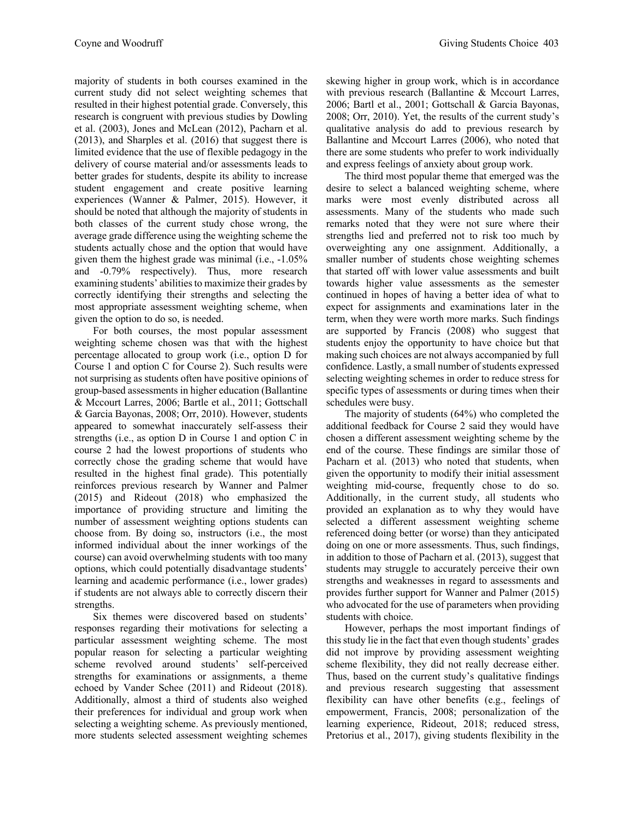majority of students in both courses examined in the current study did not select weighting schemes that resulted in their highest potential grade. Conversely, this research is congruent with previous studies by Dowling et al. (2003), Jones and McLean (2012), Pacharn et al. (2013), and Sharples et al. (2016) that suggest there is limited evidence that the use of flexible pedagogy in the delivery of course material and/or assessments leads to better grades for students, despite its ability to increase student engagement and create positive learning experiences (Wanner & Palmer, 2015). However, it should be noted that although the majority of students in both classes of the current study chose wrong, the average grade difference using the weighting scheme the students actually chose and the option that would have given them the highest grade was minimal (i.e., -1.05% and -0.79% respectively). Thus, more research examining students' abilities to maximize their grades by correctly identifying their strengths and selecting the most appropriate assessment weighting scheme, when given the option to do so, is needed.

For both courses, the most popular assessment weighting scheme chosen was that with the highest percentage allocated to group work (i.e., option D for Course 1 and option C for Course 2). Such results were not surprising as students often have positive opinions of group-based assessments in higher education (Ballantine & Mccourt Larres, 2006; Bartle et al., 2011; Gottschall & Garcia Bayonas, 2008; Orr, 2010). However, students appeared to somewhat inaccurately self-assess their strengths (i.e., as option D in Course 1 and option C in course 2 had the lowest proportions of students who correctly chose the grading scheme that would have resulted in the highest final grade). This potentially reinforces previous research by Wanner and Palmer (2015) and Rideout (2018) who emphasized the importance of providing structure and limiting the number of assessment weighting options students can choose from. By doing so, instructors (i.e., the most informed individual about the inner workings of the course) can avoid overwhelming students with too many options, which could potentially disadvantage students' learning and academic performance (i.e., lower grades) if students are not always able to correctly discern their strengths.

Six themes were discovered based on students' responses regarding their motivations for selecting a particular assessment weighting scheme. The most popular reason for selecting a particular weighting scheme revolved around students' self-perceived strengths for examinations or assignments, a theme echoed by Vander Schee (2011) and Rideout (2018). Additionally, almost a third of students also weighed their preferences for individual and group work when selecting a weighting scheme. As previously mentioned, more students selected assessment weighting schemes

skewing higher in group work, which is in accordance with previous research (Ballantine & Mccourt Larres, 2006; Bartl et al., 2001; Gottschall & Garcia Bayonas, 2008; Orr, 2010). Yet, the results of the current study's qualitative analysis do add to previous research by Ballantine and Mccourt Larres (2006), who noted that there are some students who prefer to work individually and express feelings of anxiety about group work.

The third most popular theme that emerged was the desire to select a balanced weighting scheme, where marks were most evenly distributed across all assessments. Many of the students who made such remarks noted that they were not sure where their strengths lied and preferred not to risk too much by overweighting any one assignment. Additionally, a smaller number of students chose weighting schemes that started off with lower value assessments and built towards higher value assessments as the semester continued in hopes of having a better idea of what to expect for assignments and examinations later in the term, when they were worth more marks. Such findings are supported by Francis (2008) who suggest that students enjoy the opportunity to have choice but that making such choices are not always accompanied by full confidence. Lastly, a small number of students expressed selecting weighting schemes in order to reduce stress for specific types of assessments or during times when their schedules were busy.

The majority of students (64%) who completed the additional feedback for Course 2 said they would have chosen a different assessment weighting scheme by the end of the course. These findings are similar those of Pacharn et al. (2013) who noted that students, when given the opportunity to modify their initial assessment weighting mid-course, frequently chose to do so. Additionally, in the current study, all students who provided an explanation as to why they would have selected a different assessment weighting scheme referenced doing better (or worse) than they anticipated doing on one or more assessments. Thus, such findings, in addition to those of Pacharn et al. (2013), suggest that students may struggle to accurately perceive their own strengths and weaknesses in regard to assessments and provides further support for Wanner and Palmer (2015) who advocated for the use of parameters when providing students with choice.

However, perhaps the most important findings of this study lie in the fact that even though students' grades did not improve by providing assessment weighting scheme flexibility, they did not really decrease either. Thus, based on the current study's qualitative findings and previous research suggesting that assessment flexibility can have other benefits (e.g., feelings of empowerment, Francis, 2008; personalization of the learning experience, Rideout, 2018; reduced stress, Pretorius et al., 2017), giving students flexibility in the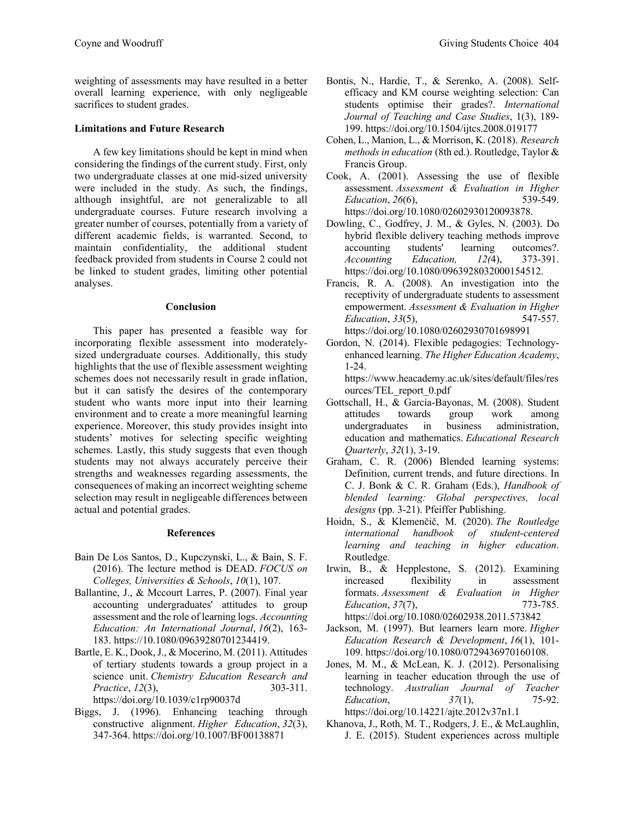weighting of assessments may have resulted in a better overall learning experience, with only negligeable sacrifices to student grades.

# **Limitations and Future Research**

A few key limitations should be kept in mind when considering the findings of the current study. First, only two undergraduate classes at one mid-sized university were included in the study. As such, the findings, although insightful, are not generalizable to all undergraduate courses. Future research involving a greater number of courses, potentially from a variety of different academic fields, is warranted. Second, to maintain confidentiality, the additional student feedback provided from students in Course 2 could not be linked to student grades, limiting other potential analyses.

## **Conclusion**

This paper has presented a feasible way for incorporating flexible assessment into moderatelysized undergraduate courses. Additionally, this study highlights that the use of flexible assessment weighting schemes does not necessarily result in grade inflation, but it can satisfy the desires of the contemporary student who wants more input into their learning environment and to create a more meaningful learning experience. Moreover, this study provides insight into students' motives for selecting specific weighting schemes. Lastly, this study suggests that even though students may not always accurately perceive their strengths and weaknesses regarding assessments, the consequences of making an incorrect weighting scheme selection may result in negligeable differences between actual and potential grades.

# **References**

- Bain De Los Santos, D., Kupczynski, L., & Bain, S. F. (2016). The lecture method is DEAD. *FOCUS on Colleges, Universities & Schools*, *10*(1), 107.
- Ballantine, J., & Mccourt Larres, P. (2007). Final year accounting undergraduates' attitudes to group assessment and the role of learning logs. *Accounting Education: An International Journal*, *16*(2), 163- 183. https://10.1080/09639280701234419.
- Bartle, E. K., Dook, J., & Mocerino, M. (2011). Attitudes of tertiary students towards a group project in a science unit. *Chemistry Education Research and Practice*, *12*(3), 303-311.

https://doi.org/10.1039/c1rp90037d

Biggs, J. (1996). Enhancing teaching through constructive alignment. *Higher Education*, *32*(3), 347-364. https://doi.org/10.1007/BF00138871

- Bontis, N., Hardie, T., & Serenko, A. (2008). Selfefficacy and KM course weighting selection: Can students optimise their grades?. *International Journal of Teaching and Case Studies*, 1(3), 189- 199. https://doi.org/10.1504/ijtcs.2008.019177
- Cohen, L., Manion, L., & Morrison, K. (2018). *Research methods in education* (8th ed.). Routledge, Taylor & Francis Group.
- Cook, A. (2001). Assessing the use of flexible assessment. *Assessment & Evaluation in Higher Education*, *26*(6), 539-549. https://doi.org/10.1080/02602930120093878.
- Dowling, C., Godfrey, J. M., & Gyles, N. (2003). Do hybrid flexible delivery teaching methods improve accounting students' learning outcomes?. *Accounting Education, 12(*4), 373-391. https://doi.org/10.1080/0963928032000154512.
- Francis, R. A. (2008). An investigation into the receptivity of undergraduate students to assessment empowerment. *Assessment & Evaluation in Higher Education*, 33(5), https://doi.org/10.1080/02602930701698991
- Gordon, N. (2014). Flexible pedagogies: Technologyenhanced learning. *The Higher Education Academy*, 1-24.

https://www.heacademy.ac.uk/sites/default/files/res ources/TEL\_report\_0.pdf

- Gottschall, H., & García-Bayonas, M. (2008). Student attitudes towards group work among undergraduates in business administration, education and mathematics. *Educational Research Quarterly*, *32*(1), 3-19.
- Graham, C. R. (2006) Blended learning systems: Definition, current trends, and future directions. In C. J. Bonk & C. R. Graham (Eds.), *Handbook of blended learning: Global perspectives, local designs* (pp. 3-21). Pfeiffer Publishing.
- Hoidn, S., & Klemenčič, M. (2020). *The Routledge international handbook of student-centered learning and teaching in higher education*. Routledge.
- Irwin, B., & Hepplestone, S. (2012). Examining increased flexibility in assessment formats. *Assessment & Evaluation in Higher Education*, 37(7), 773-785. https://doi.org/10.1080/02602938.2011.573842
- Jackson, M. (1997). But learners learn more. *Higher Education Research & Development*, *16*(1), 101- 109. https://doi.org/10.1080/0729436970160108.
- Jones, M. M., & McLean, K. J. (2012). Personalising learning in teacher education through the use of technology. *Australian Journal of Teacher Education*, *37*(1), 75-92. https://doi.org/10.14221/ajte.2012v37n1.1
- Khanova, J., Roth, M. T., Rodgers, J. E., & McLaughlin, J. E. (2015). Student experiences across multiple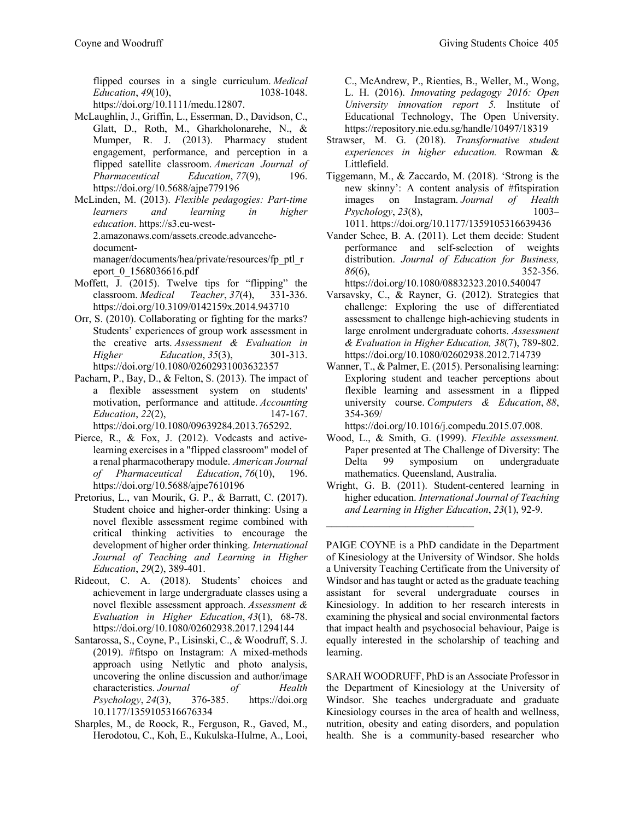flipped courses in a single curriculum. *Medical Education, 49(10),* 1038-1048. https://doi.org/10.1111/medu.12807.

- McLaughlin, J., Griffin, L., Esserman, D., Davidson, C., Glatt, D., Roth, M., Gharkholonarehe, N., & Mumper, R. J. (2013). Pharmacy student engagement, performance, and perception in a flipped satellite classroom. *American Journal of Pharmaceutical Education*, *77*(9), 196. https://doi.org/10.5688/ajpe779196
- McLinden, M. (2013). *Flexible pedagogies: Part-time learners and learning in higher education*. https://s3.eu-west-2.amazonaws.com/assets.creode.advancehedocumentmanager/documents/hea/private/resources/fp\_ptl\_r eport\_0\_1568036616.pdf
- Moffett,  $\overline{J}$ . (2015). Twelve tips for "flipping" the classroom. *Medical Teacher*, *37*(4), 331-336. https://doi.org/10.3109/0142159x.2014.943710
- Orr, S. (2010). Collaborating or fighting for the marks? Students' experiences of group work assessment in the creative arts. *Assessment & Evaluation in Higher Education*, 35(3), 301-313. https://doi.org/10.1080/02602931003632357
- Pacharn, P., Bay, D., & Felton, S. (2013). The impact of a flexible assessment system on students' motivation, performance and attitude. *Accounting Education*, *22*(2), 147-167. https://doi.org/10.1080/09639284.2013.765292.
- Pierce, R., & Fox, J. (2012). Vodcasts and activelearning exercises in a "flipped classroom" model of a renal pharmacotherapy module. *American Journal of Pharmaceutical Education*, *76*(10), 196. https://doi.org/10.5688/ajpe7610196
- Pretorius, L., van Mourik, G. P., & Barratt, C. (2017). Student choice and higher-order thinking: Using a novel flexible assessment regime combined with critical thinking activities to encourage the development of higher order thinking. *International Journal of Teaching and Learning in Higher Education*, *29*(2), 389-401.
- Rideout, C. A. (2018). Students' choices and achievement in large undergraduate classes using a novel flexible assessment approach. *Assessment & Evaluation in Higher Education*, *43*(1), 68-78. https://doi.org/10.1080/02602938.2017.1294144
- Santarossa, S., Coyne, P., Lisinski, C., & Woodruff, S. J. (2019). #fitspo on Instagram: A mixed-methods approach using Netlytic and photo analysis, uncovering the online discussion and author/image characteristics. *Journal of Health Psychology*, *24*(3), 376-385. https://doi.org 10.1177/1359105316676334
- Sharples, M., de Roock, R., Ferguson, R., Gaved, M., Herodotou, C., Koh, E., Kukulska-Hulme, A., Looi,

C., McAndrew, P., Rienties, B., Weller, M., Wong, L. H. (2016). *Innovating pedagogy 2016: Open University innovation report 5.* Institute of Educational Technology, The Open University. https://repository.nie.edu.sg/handle/10497/18319

- Strawser, M. G. (2018). *Transformative student experiences in higher education.* Rowman & Littlefield.
- Tiggemann, M., & Zaccardo, M. (2018). 'Strong is the new skinny': A content analysis of #fitspiration images on Instagram. *Journal of Health Psychology*, *23*(8), 1003– 1011. https://doi.org/10.1177/1359105316639436
- Vander Schee, B. A. (2011). Let them decide: Student performance and self-selection of weights distribution. *Journal of Education for Business, 86*(6), 352-356. https://doi.org/10.1080/08832323.2010.540047

Varsavsky, C., & Rayner, G. (2012). Strategies that challenge: Exploring the use of differentiated assessment to challenge high-achieving students in large enrolment undergraduate cohorts. *Assessment & Evaluation in Higher Education, 38*(7), 789-802. https://doi.org/10.1080/02602938.2012.714739

Wanner, T., & Palmer, E. (2015). Personalising learning: Exploring student and teacher perceptions about flexible learning and assessment in a flipped university course. *Computers & Education*, *88*, 354-369/

https://doi.org/10.1016/j.compedu.2015.07.008.

- Wood, L., & Smith, G. (1999). *Flexible assessment.* Paper presented at The Challenge of Diversity: The Delta 99 symposium on undergraduate mathematics. Queensland, Australia.
- Wright, G. B. (2011). Student-centered learning in higher education. *International Journal of Teaching and Learning in Higher Education*, *23*(1), 92-9.

PAIGE COYNE is a PhD candidate in the Department of Kinesiology at the University of Windsor. She holds a University Teaching Certificate from the University of Windsor and has taught or acted as the graduate teaching assistant for several undergraduate courses in Kinesiology. In addition to her research interests in examining the physical and social environmental factors that impact health and psychosocial behaviour, Paige is equally interested in the scholarship of teaching and learning.

SARAH WOODRUFF, PhD is an Associate Professor in the Department of Kinesiology at the University of Windsor. She teaches undergraduate and graduate Kinesiology courses in the area of health and wellness, nutrition, obesity and eating disorders, and population health. She is a community-based researcher who